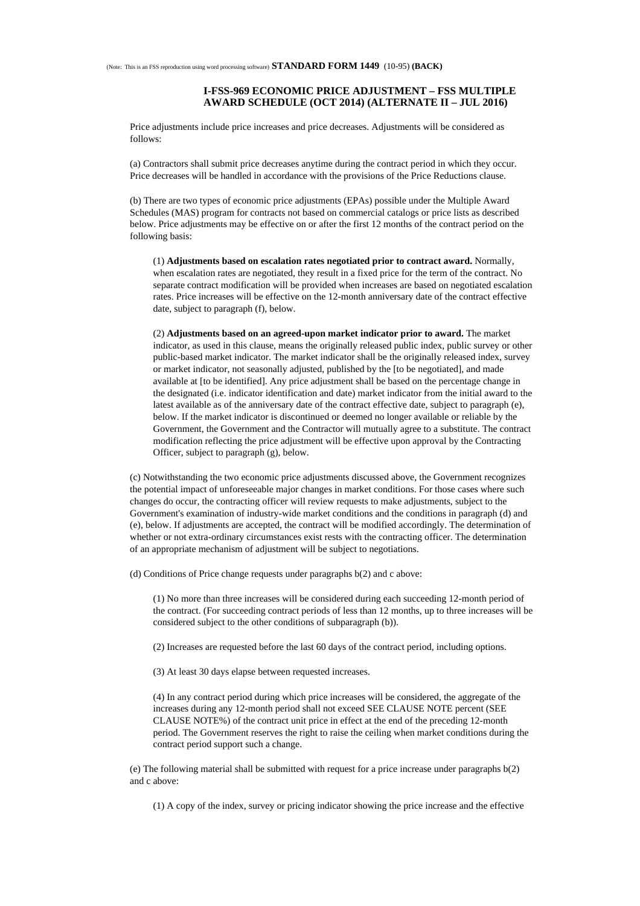## **I-FSS-969 ECONOMIC PRICE ADJUSTMENT – FSS MULTIPLE AWARD SCHEDULE (OCT 2014) (ALTERNATE II – JUL 2016)**

Price adjustments include price increases and price decreases. Adjustments will be considered as follows:

(a) Contractors shall submit price decreases anytime during the contract period in which they occur. Price decreases will be handled in accordance with the provisions of the Price Reductions clause.

(b) There are two types of economic price adjustments (EPAs) possible under the Multiple Award Schedules (MAS) program for contracts not based on commercial catalogs or price lists as described below. Price adjustments may be effective on or after the first 12 months of the contract period on the following basis:

(1) **Adjustments based on escalation rates negotiated prior to contract award.** Normally, when escalation rates are negotiated, they result in a fixed price for the term of the contract. No separate contract modification will be provided when increases are based on negotiated escalation rates. Price increases will be effective on the 12-month anniversary date of the contract effective date, subject to paragraph (f), below.

(2) **Adjustments based on an agreed-upon market indicator prior to award.** The market indicator, as used in this clause, means the originally released public index, public survey or other public-based market indicator. The market indicator shall be the originally released index, survey or market indicator, not seasonally adjusted, published by the [to be negotiated], and made available at [to be identified]. Any price adjustment shall be based on the percentage change in the designated (i.e. indicator identification and date) market indicator from the initial award to the latest available as of the anniversary date of the contract effective date, subject to paragraph (e), below. If the market indicator is discontinued or deemed no longer available or reliable by the Government, the Government and the Contractor will mutually agree to a substitute. The contract modification reflecting the price adjustment will be effective upon approval by the Contracting Officer, subject to paragraph (g), below.

(c) Notwithstanding the two economic price adjustments discussed above, the Government recognizes the potential impact of unforeseeable major changes in market conditions. For those cases where such changes do occur, the contracting officer will review requests to make adjustments, subject to the Government's examination of industry-wide market conditions and the conditions in paragraph (d) and (e), below. If adjustments are accepted, the contract will be modified accordingly. The determination of whether or not extra-ordinary circumstances exist rests with the contracting officer. The determination of an appropriate mechanism of adjustment will be subject to negotiations.

(d) Conditions of Price change requests under paragraphs b(2) and c above:

(1) No more than three increases will be considered during each succeeding 12-month period of the contract. (For succeeding contract periods of less than 12 months, up to three increases will be considered subject to the other conditions of subparagraph (b)).

(2) Increases are requested before the last 60 days of the contract period, including options.

(3) At least 30 days elapse between requested increases.

(4) In any contract period during which price increases will be considered, the aggregate of the increases during any 12-month period shall not exceed SEE CLAUSE NOTE percent (SEE CLAUSE NOTE%) of the contract unit price in effect at the end of the preceding 12-month period. The Government reserves the right to raise the ceiling when market conditions during the contract period support such a change.

(e) The following material shall be submitted with request for a price increase under paragraphs b(2) and c above:

(1) A copy of the index, survey or pricing indicator showing the price increase and the effective